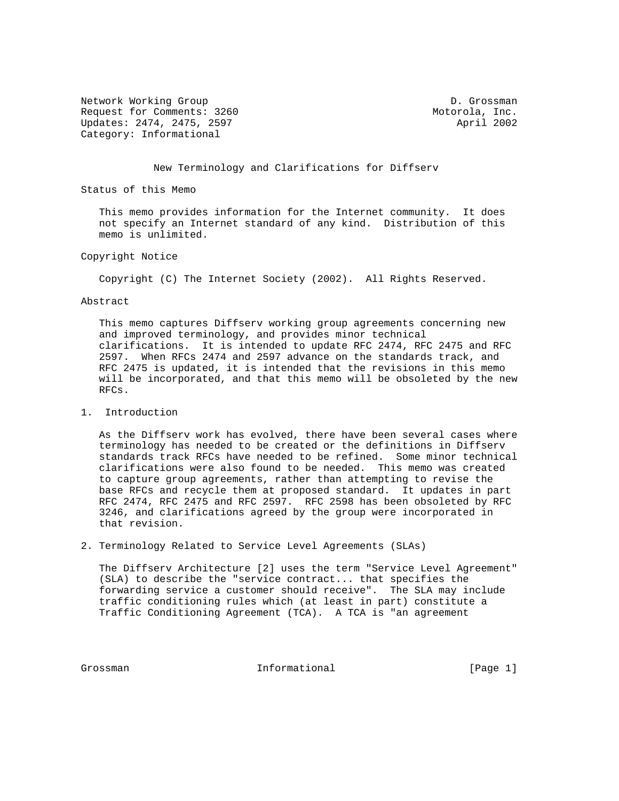Network Working Group and D. Grossman D. Grossman Request for Comments: 3260 Motorola, Inc. Updates: 2474, 2475, 2597 April 2002 Category: Informational

### New Terminology and Clarifications for Diffserv

Status of this Memo

 This memo provides information for the Internet community. It does not specify an Internet standard of any kind. Distribution of this memo is unlimited.

## Copyright Notice

Copyright (C) The Internet Society (2002). All Rights Reserved.

#### Abstract

 This memo captures Diffserv working group agreements concerning new and improved terminology, and provides minor technical clarifications. It is intended to update RFC 2474, RFC 2475 and RFC 2597. When RFCs 2474 and 2597 advance on the standards track, and RFC 2475 is updated, it is intended that the revisions in this memo will be incorporated, and that this memo will be obsoleted by the new RFCs.

## 1. Introduction

 As the Diffserv work has evolved, there have been several cases where terminology has needed to be created or the definitions in Diffserv standards track RFCs have needed to be refined. Some minor technical clarifications were also found to be needed. This memo was created to capture group agreements, rather than attempting to revise the base RFCs and recycle them at proposed standard. It updates in part RFC 2474, RFC 2475 and RFC 2597. RFC 2598 has been obsoleted by RFC 3246, and clarifications agreed by the group were incorporated in that revision.

2. Terminology Related to Service Level Agreements (SLAs)

 The Diffserv Architecture [2] uses the term "Service Level Agreement" (SLA) to describe the "service contract... that specifies the forwarding service a customer should receive". The SLA may include traffic conditioning rules which (at least in part) constitute a Traffic Conditioning Agreement (TCA). A TCA is "an agreement

Grossman 10 Informational 1996 [Page 1]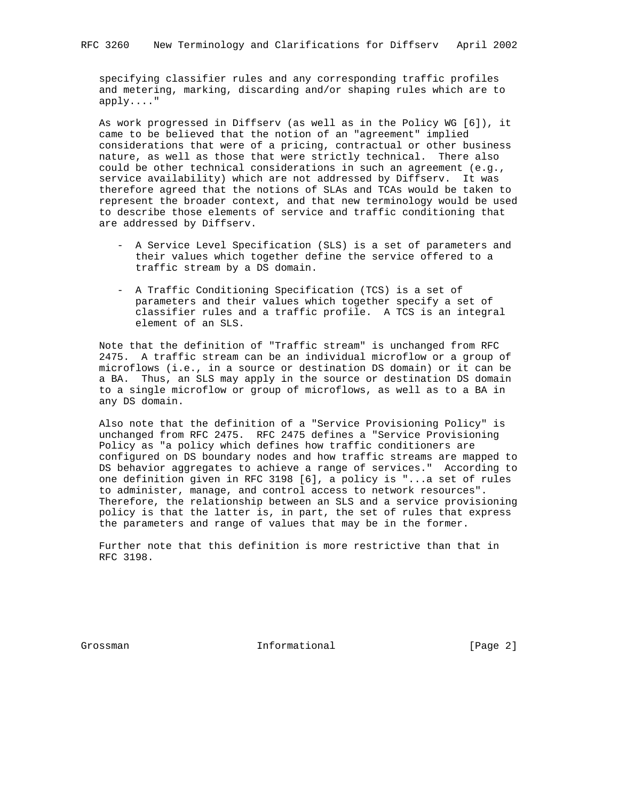specifying classifier rules and any corresponding traffic profiles and metering, marking, discarding and/or shaping rules which are to apply...."

 As work progressed in Diffserv (as well as in the Policy WG [6]), it came to be believed that the notion of an "agreement" implied considerations that were of a pricing, contractual or other business nature, as well as those that were strictly technical. There also could be other technical considerations in such an agreement (e.g., service availability) which are not addressed by Diffserv. It was therefore agreed that the notions of SLAs and TCAs would be taken to represent the broader context, and that new terminology would be used to describe those elements of service and traffic conditioning that are addressed by Diffserv.

- A Service Level Specification (SLS) is a set of parameters and their values which together define the service offered to a traffic stream by a DS domain.
- A Traffic Conditioning Specification (TCS) is a set of parameters and their values which together specify a set of classifier rules and a traffic profile. A TCS is an integral element of an SLS.

 Note that the definition of "Traffic stream" is unchanged from RFC 2475. A traffic stream can be an individual microflow or a group of microflows (i.e., in a source or destination DS domain) or it can be a BA. Thus, an SLS may apply in the source or destination DS domain to a single microflow or group of microflows, as well as to a BA in any DS domain.

 Also note that the definition of a "Service Provisioning Policy" is unchanged from RFC 2475. RFC 2475 defines a "Service Provisioning Policy as "a policy which defines how traffic conditioners are configured on DS boundary nodes and how traffic streams are mapped to DS behavior aggregates to achieve a range of services." According to one definition given in RFC 3198 [6], a policy is "...a set of rules to administer, manage, and control access to network resources". Therefore, the relationship between an SLS and a service provisioning policy is that the latter is, in part, the set of rules that express the parameters and range of values that may be in the former.

 Further note that this definition is more restrictive than that in RFC 3198.

Grossman 10 Informational 1996 [Page 2]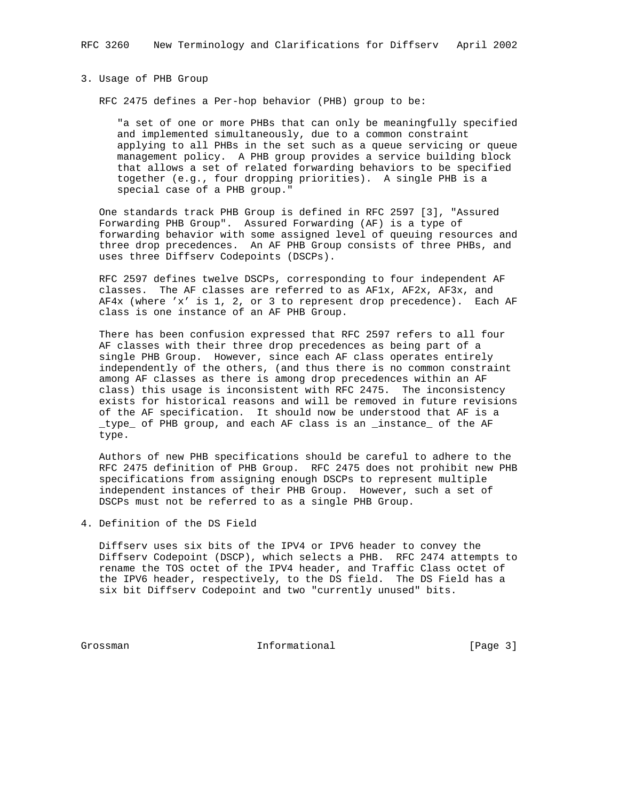## 3. Usage of PHB Group

RFC 2475 defines a Per-hop behavior (PHB) group to be:

 "a set of one or more PHBs that can only be meaningfully specified and implemented simultaneously, due to a common constraint applying to all PHBs in the set such as a queue servicing or queue management policy. A PHB group provides a service building block that allows a set of related forwarding behaviors to be specified together (e.g., four dropping priorities). A single PHB is a special case of a PHB group."

 One standards track PHB Group is defined in RFC 2597 [3], "Assured Forwarding PHB Group". Assured Forwarding (AF) is a type of forwarding behavior with some assigned level of queuing resources and three drop precedences. An AF PHB Group consists of three PHBs, and uses three Diffserv Codepoints (DSCPs).

 RFC 2597 defines twelve DSCPs, corresponding to four independent AF classes. The AF classes are referred to as AF1x, AF2x, AF3x, and AF4x (where 'x' is 1, 2, or 3 to represent drop precedence). Each AF class is one instance of an AF PHB Group.

 There has been confusion expressed that RFC 2597 refers to all four AF classes with their three drop precedences as being part of a single PHB Group. However, since each AF class operates entirely independently of the others, (and thus there is no common constraint among AF classes as there is among drop precedences within an AF class) this usage is inconsistent with RFC 2475. The inconsistency exists for historical reasons and will be removed in future revisions of the AF specification. It should now be understood that AF is a \_type\_ of PHB group, and each AF class is an \_instance\_ of the AF type.

 Authors of new PHB specifications should be careful to adhere to the RFC 2475 definition of PHB Group. RFC 2475 does not prohibit new PHB specifications from assigning enough DSCPs to represent multiple independent instances of their PHB Group. However, such a set of DSCPs must not be referred to as a single PHB Group.

4. Definition of the DS Field

 Diffserv uses six bits of the IPV4 or IPV6 header to convey the Diffserv Codepoint (DSCP), which selects a PHB. RFC 2474 attempts to rename the TOS octet of the IPV4 header, and Traffic Class octet of the IPV6 header, respectively, to the DS field. The DS Field has a six bit Diffserv Codepoint and two "currently unused" bits.

Grossman Informational [Page 3]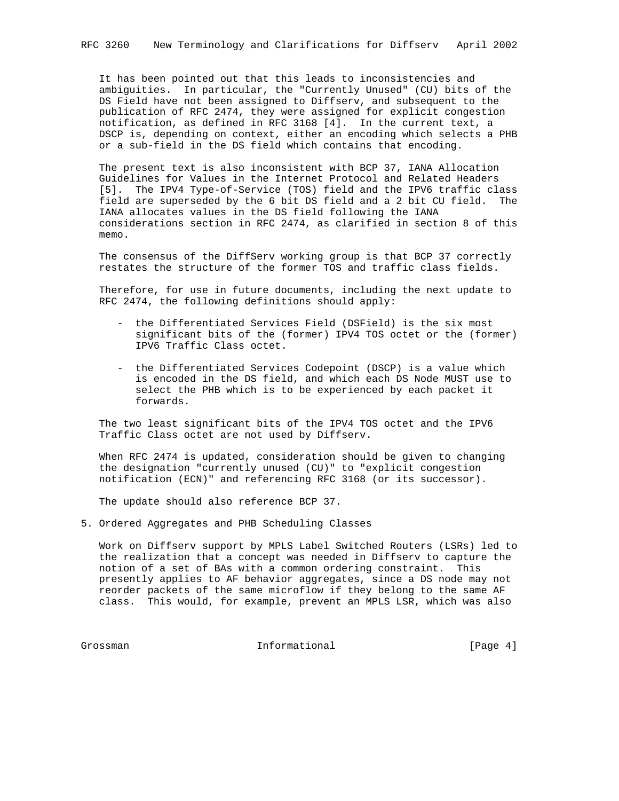It has been pointed out that this leads to inconsistencies and ambiguities. In particular, the "Currently Unused" (CU) bits of the DS Field have not been assigned to Diffserv, and subsequent to the publication of RFC 2474, they were assigned for explicit congestion notification, as defined in RFC 3168 [4]. In the current text, a DSCP is, depending on context, either an encoding which selects a PHB or a sub-field in the DS field which contains that encoding.

 The present text is also inconsistent with BCP 37, IANA Allocation Guidelines for Values in the Internet Protocol and Related Headers [5]. The IPV4 Type-of-Service (TOS) field and the IPV6 traffic class field are superseded by the 6 bit DS field and a 2 bit CU field. The IANA allocates values in the DS field following the IANA considerations section in RFC 2474, as clarified in section 8 of this memo.

The consensus of the DiffServ working group is that BCP 37 correctly restates the structure of the former TOS and traffic class fields.

 Therefore, for use in future documents, including the next update to RFC 2474, the following definitions should apply:

- the Differentiated Services Field (DSField) is the six most significant bits of the (former) IPV4 TOS octet or the (former) IPV6 Traffic Class octet.
- the Differentiated Services Codepoint (DSCP) is a value which is encoded in the DS field, and which each DS Node MUST use to select the PHB which is to be experienced by each packet it forwards.

 The two least significant bits of the IPV4 TOS octet and the IPV6 Traffic Class octet are not used by Diffserv.

 When RFC 2474 is updated, consideration should be given to changing the designation "currently unused (CU)" to "explicit congestion notification (ECN)" and referencing RFC 3168 (or its successor).

The update should also reference BCP 37.

5. Ordered Aggregates and PHB Scheduling Classes

 Work on Diffserv support by MPLS Label Switched Routers (LSRs) led to the realization that a concept was needed in Diffserv to capture the notion of a set of BAs with a common ordering constraint. This presently applies to AF behavior aggregates, since a DS node may not reorder packets of the same microflow if they belong to the same AF class. This would, for example, prevent an MPLS LSR, which was also

Grossman Informational [Page 4]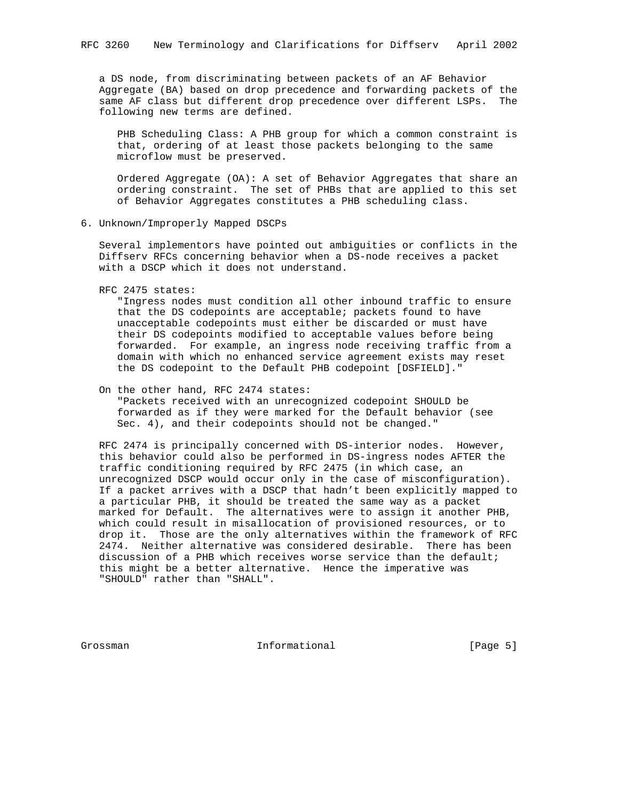a DS node, from discriminating between packets of an AF Behavior Aggregate (BA) based on drop precedence and forwarding packets of the same AF class but different drop precedence over different LSPs. The following new terms are defined.

 PHB Scheduling Class: A PHB group for which a common constraint is that, ordering of at least those packets belonging to the same microflow must be preserved.

 Ordered Aggregate (OA): A set of Behavior Aggregates that share an ordering constraint. The set of PHBs that are applied to this set of Behavior Aggregates constitutes a PHB scheduling class.

6. Unknown/Improperly Mapped DSCPs

 Several implementors have pointed out ambiguities or conflicts in the Diffserv RFCs concerning behavior when a DS-node receives a packet with a DSCP which it does not understand.

RFC 2475 states:

 "Ingress nodes must condition all other inbound traffic to ensure that the DS codepoints are acceptable; packets found to have unacceptable codepoints must either be discarded or must have their DS codepoints modified to acceptable values before being forwarded. For example, an ingress node receiving traffic from a domain with which no enhanced service agreement exists may reset the DS codepoint to the Default PHB codepoint [DSFIELD]."

# On the other hand, RFC 2474 states:

 "Packets received with an unrecognized codepoint SHOULD be forwarded as if they were marked for the Default behavior (see Sec. 4), and their codepoints should not be changed."

 RFC 2474 is principally concerned with DS-interior nodes. However, this behavior could also be performed in DS-ingress nodes AFTER the traffic conditioning required by RFC 2475 (in which case, an unrecognized DSCP would occur only in the case of misconfiguration). If a packet arrives with a DSCP that hadn't been explicitly mapped to a particular PHB, it should be treated the same way as a packet marked for Default. The alternatives were to assign it another PHB, which could result in misallocation of provisioned resources, or to drop it. Those are the only alternatives within the framework of RFC 2474. Neither alternative was considered desirable. There has been discussion of a PHB which receives worse service than the default; this might be a better alternative. Hence the imperative was "SHOULD" rather than "SHALL".

Grossman 10 Informational 1996 [Page 5]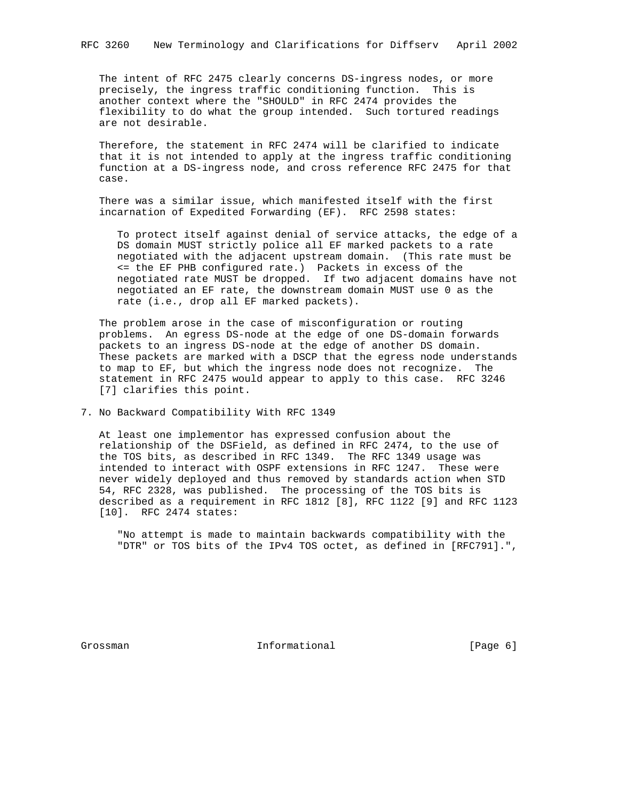The intent of RFC 2475 clearly concerns DS-ingress nodes, or more precisely, the ingress traffic conditioning function. This is another context where the "SHOULD" in RFC 2474 provides the flexibility to do what the group intended. Such tortured readings are not desirable.

 Therefore, the statement in RFC 2474 will be clarified to indicate that it is not intended to apply at the ingress traffic conditioning function at a DS-ingress node, and cross reference RFC 2475 for that case.

 There was a similar issue, which manifested itself with the first incarnation of Expedited Forwarding (EF). RFC 2598 states:

 To protect itself against denial of service attacks, the edge of a DS domain MUST strictly police all EF marked packets to a rate negotiated with the adjacent upstream domain. (This rate must be <= the EF PHB configured rate.) Packets in excess of the negotiated rate MUST be dropped. If two adjacent domains have not negotiated an EF rate, the downstream domain MUST use 0 as the rate (i.e., drop all EF marked packets).

 The problem arose in the case of misconfiguration or routing problems. An egress DS-node at the edge of one DS-domain forwards packets to an ingress DS-node at the edge of another DS domain. These packets are marked with a DSCP that the egress node understands to map to EF, but which the ingress node does not recognize. The statement in RFC 2475 would appear to apply to this case. RFC 3246 [7] clarifies this point.

7. No Backward Compatibility With RFC 1349

 At least one implementor has expressed confusion about the relationship of the DSField, as defined in RFC 2474, to the use of the TOS bits, as described in RFC 1349. The RFC 1349 usage was intended to interact with OSPF extensions in RFC 1247. These were never widely deployed and thus removed by standards action when STD 54, RFC 2328, was published. The processing of the TOS bits is described as a requirement in RFC 1812 [8], RFC 1122 [9] and RFC 1123 [10]. RFC 2474 states:

 "No attempt is made to maintain backwards compatibility with the "DTR" or TOS bits of the IPv4 TOS octet, as defined in [RFC791].",

Grossman **Informational** Informational [Page 6]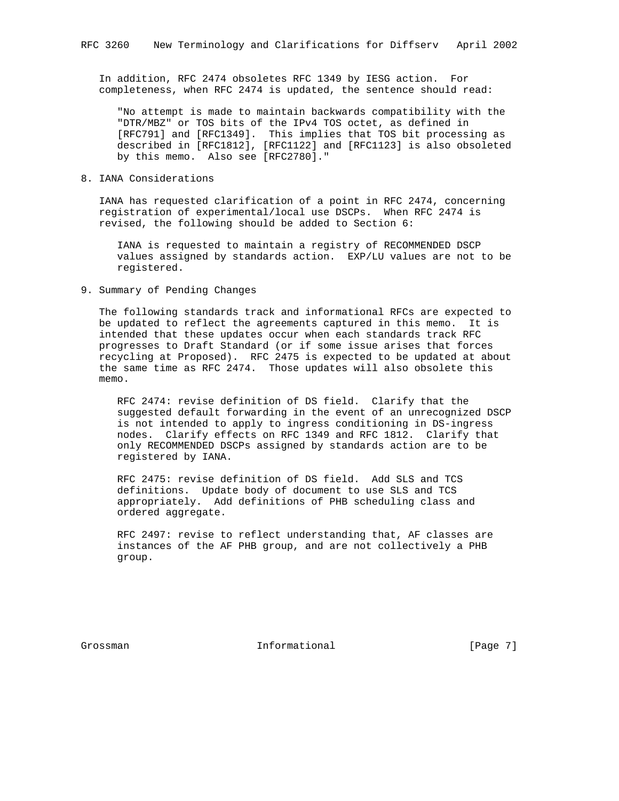In addition, RFC 2474 obsoletes RFC 1349 by IESG action. For completeness, when RFC 2474 is updated, the sentence should read:

 "No attempt is made to maintain backwards compatibility with the "DTR/MBZ" or TOS bits of the IPv4 TOS octet, as defined in [RFC791] and [RFC1349]. This implies that TOS bit processing as described in [RFC1812], [RFC1122] and [RFC1123] is also obsoleted by this memo. Also see [RFC2780]."

## 8. IANA Considerations

 IANA has requested clarification of a point in RFC 2474, concerning registration of experimental/local use DSCPs. When RFC 2474 is revised, the following should be added to Section 6:

 IANA is requested to maintain a registry of RECOMMENDED DSCP values assigned by standards action. EXP/LU values are not to be registered.

9. Summary of Pending Changes

 The following standards track and informational RFCs are expected to be updated to reflect the agreements captured in this memo. It is intended that these updates occur when each standards track RFC progresses to Draft Standard (or if some issue arises that forces recycling at Proposed). RFC 2475 is expected to be updated at about the same time as RFC 2474. Those updates will also obsolete this memo.

 RFC 2474: revise definition of DS field. Clarify that the suggested default forwarding in the event of an unrecognized DSCP is not intended to apply to ingress conditioning in DS-ingress nodes. Clarify effects on RFC 1349 and RFC 1812. Clarify that only RECOMMENDED DSCPs assigned by standards action are to be registered by IANA.

 RFC 2475: revise definition of DS field. Add SLS and TCS definitions. Update body of document to use SLS and TCS appropriately. Add definitions of PHB scheduling class and ordered aggregate.

 RFC 2497: revise to reflect understanding that, AF classes are instances of the AF PHB group, and are not collectively a PHB group.

Grossman 10 Informational 1999 [Page 7]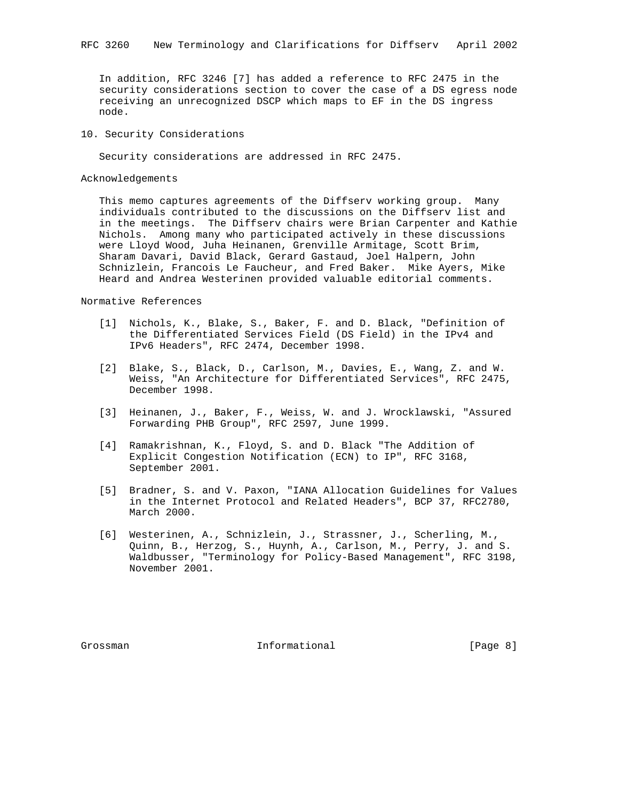In addition, RFC 3246 [7] has added a reference to RFC 2475 in the security considerations section to cover the case of a DS egress node receiving an unrecognized DSCP which maps to EF in the DS ingress node.

## 10. Security Considerations

Security considerations are addressed in RFC 2475.

## Acknowledgements

 This memo captures agreements of the Diffserv working group. Many individuals contributed to the discussions on the Diffserv list and in the meetings. The Diffserv chairs were Brian Carpenter and Kathie Nichols. Among many who participated actively in these discussions were Lloyd Wood, Juha Heinanen, Grenville Armitage, Scott Brim, Sharam Davari, David Black, Gerard Gastaud, Joel Halpern, John Schnizlein, Francois Le Faucheur, and Fred Baker. Mike Ayers, Mike Heard and Andrea Westerinen provided valuable editorial comments.

#### Normative References

- [1] Nichols, K., Blake, S., Baker, F. and D. Black, "Definition of the Differentiated Services Field (DS Field) in the IPv4 and IPv6 Headers", RFC 2474, December 1998.
- [2] Blake, S., Black, D., Carlson, M., Davies, E., Wang, Z. and W. Weiss, "An Architecture for Differentiated Services", RFC 2475, December 1998.
- [3] Heinanen, J., Baker, F., Weiss, W. and J. Wrocklawski, "Assured Forwarding PHB Group", RFC 2597, June 1999.
- [4] Ramakrishnan, K., Floyd, S. and D. Black "The Addition of Explicit Congestion Notification (ECN) to IP", RFC 3168, September 2001.
- [5] Bradner, S. and V. Paxon, "IANA Allocation Guidelines for Values in the Internet Protocol and Related Headers", BCP 37, RFC2780, March 2000.
- [6] Westerinen, A., Schnizlein, J., Strassner, J., Scherling, M., Quinn, B., Herzog, S., Huynh, A., Carlson, M., Perry, J. and S. Waldbusser, "Terminology for Policy-Based Management", RFC 3198, November 2001.

Grossman **Informational** Informational [Page 8]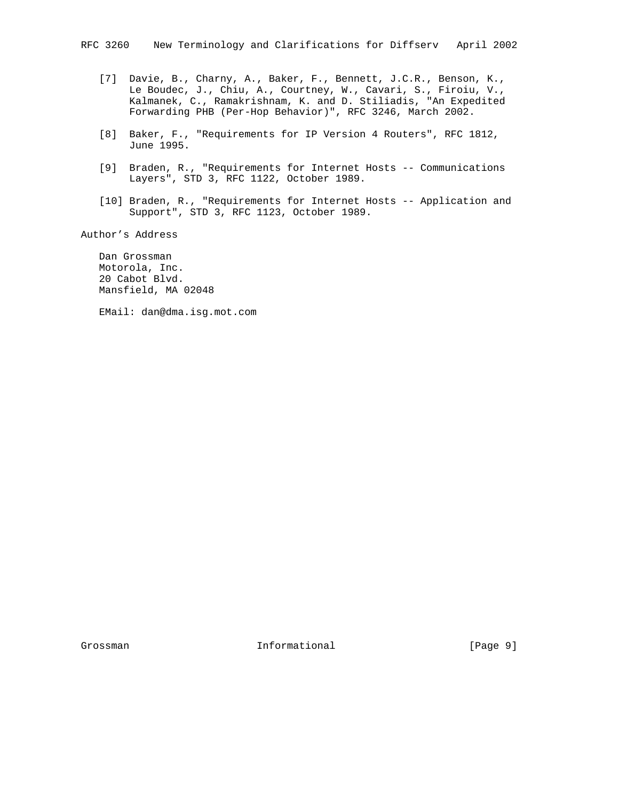- [7] Davie, B., Charny, A., Baker, F., Bennett, J.C.R., Benson, K., Le Boudec, J., Chiu, A., Courtney, W., Cavari, S., Firoiu, V., Kalmanek, C., Ramakrishnam, K. and D. Stiliadis, "An Expedited Forwarding PHB (Per-Hop Behavior)", RFC 3246, March 2002.
	- [8] Baker, F., "Requirements for IP Version 4 Routers", RFC 1812, June 1995.
	- [9] Braden, R., "Requirements for Internet Hosts -- Communications Layers", STD 3, RFC 1122, October 1989.
	- [10] Braden, R., "Requirements for Internet Hosts -- Application and Support", STD 3, RFC 1123, October 1989.

Author's Address

 Dan Grossman Motorola, Inc. 20 Cabot Blvd. Mansfield, MA 02048

EMail: dan@dma.isg.mot.com

Grossman 10 Informational [Page 9]